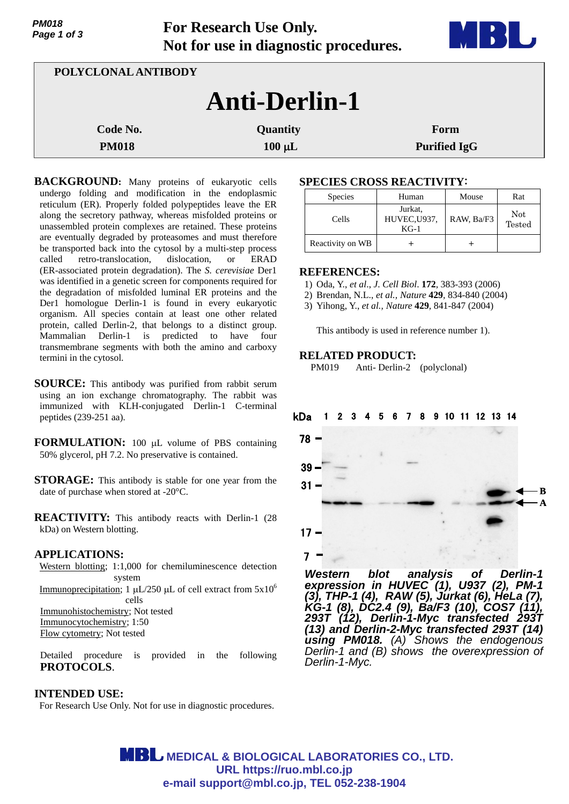| PM018       |  |  |
|-------------|--|--|
| Page 1 of 3 |  |  |

**For Research Use Only. Not for use in diagnostic procedures.**



| POLYCLONAL ANTIBODY  |                 |                     |  |  |
|----------------------|-----------------|---------------------|--|--|
| <b>Anti-Derlin-1</b> |                 |                     |  |  |
| Code No.             | <b>Quantity</b> | Form                |  |  |
| <b>PM018</b>         | $100 \mu L$     | <b>Purified IgG</b> |  |  |

**BACKGROUND:** Many proteins of eukaryotic cells undergo folding and modification in the endoplasmic reticulum (ER). Properly folded polypeptides leave the ER along the secretory pathway, whereas misfolded proteins or unassembled protein complexes are retained. These proteins are eventually degraded by proteasomes and must therefore be transported back into the cytosol by a multi-step process called retro-translocation, dislocation, or ERAD (ER-associated protein degradation). The *S. cerevisiae* Der1 was identified in a genetic screen for components required for the degradation of misfolded luminal ER proteins and the Der1 homologue Derlin-1 is found in every eukaryotic organism. All species contain at least one other related protein, called Derlin-2, that belongs to a distinct group. Mammalian Derlin-1 is predicted to have four transmembrane segments with both the amino and carboxy termini in the cytosol.

- **SOURCE:** This antibody was purified from rabbit serum using an ion exchange chromatography. The rabbit was immunized with KLH-conjugated Derlin-1 C-terminal peptides (239-251 aa).
- **FORMULATION:** 100 µL volume of PBS containing 50% glycerol, pH 7.2. No preservative is contained.
- **STORAGE:** This antibody is stable for one year from the date of purchase when stored at -20°C.

**REACTIVITY:** This antibody reacts with Derlin-1 (28 kDa) on Western blotting.

### **APPLICATIONS:**

Western blotting; 1:1,000 for chemiluminescence detection system Immunoprecipitation; 1  $\mu$ L/250  $\mu$ L of cell extract from  $5x10^6$ cells Immunohistochemistry; Not tested Immunocytochemistry; 1:50 Flow cytometry; Not tested

Detailed procedure is provided in the following **PROTOCOLS**.

## **INTENDED USE:**

For Research Use Only. Not for use in diagnostic procedures.

# **SPECIES CROSS REACTIVITY**:

| <b>Species</b>   | Human                             | Mouse      | Rat           |
|------------------|-----------------------------------|------------|---------------|
| Cells            | Jurkat,<br>HUVEC, U937,<br>$KG-1$ | RAW, Ba/F3 | Not<br>Tested |
| Reactivity on WB |                                   |            |               |

### **REFERENCES:**

- 1) Oda, Y., *et al*., *J*. *Cell Biol*. **172**, 383-393 (2006)
- 2) Brendan, N.L., *et al., Nature* **429***,* 834-840 (2004)

3) Yihong, Y., *et al., Nature* **429***,* 841-847 (2004)

This antibody is used in reference number 1).

## **RELATED PRODUCT:**

PM019 Anti- Derlin-2 (polyclonal)

#### 8 9 10 11 12 13 14 kDa



*Western blot analysis of Derlin-1 expression in HUVEC (1), U937 (2), PM-1 (3), THP-1 (4), RAW (5), Jurkat (6), HeLa (7), KG-1 (8), DC2.4 (9), Ba/F3 (10), COS7 (11), 293T (12), Derlin-1-Myc transfected 293T (13) and Derlin-2-Myc transfected 293T (14) using PM018. (A) Shows the endogenous Derlin-1 and (B) shows the overexpression of Derlin-1-Myc.*

**MBL** MEDICAL & BIOLOGICAL LABORATORIES CO., LTD. **URL https://ruo.mbl.co.jp e-mail support@mbl.co.jp, TEL 052-238-1904**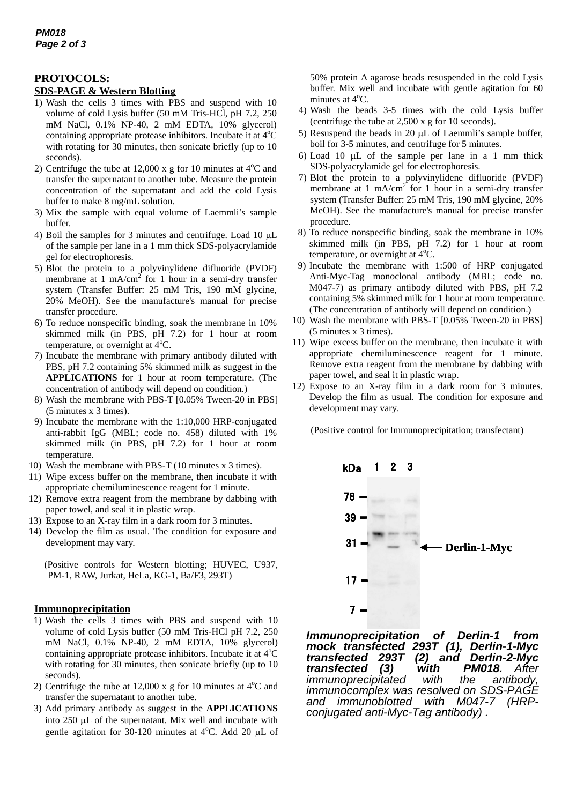## **PROTOCOLS:**

### **SDS-PAGE & Western Blotting**

- 1) Wash the cells 3 times with PBS and suspend with 10 volume of cold Lysis buffer (50 mM Tris-HCl, pH 7.2, 250 mM NaCl, 0.1% NP-40, 2 mM EDTA, 10% glycerol) containing appropriate protease inhibitors. Incubate it at 4°C with rotating for 30 minutes, then sonicate briefly (up to 10 seconds).
- 2) Centrifuge the tube at 12,000 x g for 10 minutes at  $4^{\circ}$ C and transfer the supernatant to another tube. Measure the protein concentration of the supernatant and add the cold Lysis buffer to make 8 mg/mL solution.
- 3) Mix the sample with equal volume of Laemmli's sample buffer.
- 4) Boil the samples for 3 minutes and centrifuge. Load 10  $\mu$ L of the sample per lane in a 1 mm thick SDS-polyacrylamide gel for electrophoresis.
- 5) Blot the protein to a polyvinylidene difluoride (PVDF) membrane at 1 mA/cm<sup>2</sup> for 1 hour in a semi-dry transfer system (Transfer Buffer: 25 mM Tris, 190 mM glycine, 20% MeOH). See the manufacture's manual for precise transfer procedure.
- 6) To reduce nonspecific binding, soak the membrane in 10% skimmed milk (in PBS, pH 7.2) for 1 hour at room temperature, or overnight at <sup>4°</sup>C.
- 7) Incubate the membrane with primary antibody diluted with PBS, pH 7.2 containing 5% skimmed milk as suggest in the **APPLICATIONS** for 1 hour at room temperature. (The concentration of antibody will depend on condition.)
- 8) Wash the membrane with PBS-T [0.05% Tween-20 in PBS] (5 minutes x 3 times).
- 9) Incubate the membrane with the 1:10,000 HRP-conjugated anti-rabbit IgG (MBL; code no. 458) diluted with 1% skimmed milk (in PBS, pH 7.2) for 1 hour at room temperature.
- 10) Wash the membrane with PBS-T (10 minutes x 3 times).
- 11) Wipe excess buffer on the membrane, then incubate it with appropriate chemiluminescence reagent for 1 minute.
- 12) Remove extra reagent from the membrane by dabbing with paper towel, and seal it in plastic wrap.
- 13) Expose to an X-ray film in a dark room for 3 minutes.
- 14) Develop the film as usual. The condition for exposure and development may vary.

(Positive controls for Western blotting; HUVEC, U937, PM-1, RAW, Jurkat, HeLa, KG-1, Ba/F3, 293T)

## **Immunoprecipitation**

- 1) Wash the cells 3 times with PBS and suspend with 10 volume of cold Lysis buffer (50 mM Tris-HCl pH 7.2, 250 mM NaCl, 0.1% NP-40, 2 mM EDTA, 10% glycerol) containing appropriate protease inhibitors. Incubate it at 4°C with rotating for 30 minutes, then sonicate briefly (up to 10 seconds).
- 2) Centrifuge the tube at  $12,000 \times g$  for 10 minutes at  $4^{\circ}$ C and transfer the supernatant to another tube.
- 3) Add primary antibody as suggest in the **APPLICATIONS** into  $250 \mu L$  of the supernatant. Mix well and incubate with gentle agitation for 30-120 minutes at  $4^{\circ}$ C. Add 20 µL of

50% protein A agarose beads resuspended in the cold Lysis buffer. Mix well and incubate with gentle agitation for 60 minutes at 4°C.

- 4) Wash the beads 3-5 times with the cold Lysis buffer (centrifuge the tube at 2,500 x g for 10 seconds).
- 5) Resuspend the beads in 20  $\mu$ L of Laemmli's sample buffer, boil for 3-5 minutes, and centrifuge for 5 minutes.
- 6) Load 10  $\mu$ L of the sample per lane in a 1 mm thick SDS-polyacrylamide gel for electrophoresis.
- 7) Blot the protein to a polyvinylidene difluoride (PVDF) membrane at 1 mA/cm<sup>2</sup> for 1 hour in a semi-dry transfer system (Transfer Buffer: 25 mM Tris, 190 mM glycine, 20% MeOH). See the manufacture's manual for precise transfer procedure.
- 8) To reduce nonspecific binding, soak the membrane in 10% skimmed milk (in PBS, pH 7.2) for 1 hour at room temperature, or overnight at  $4^{\circ}$ C.
- 9) Incubate the membrane with 1:500 of HRP conjugated Anti-Myc-Tag monoclonal antibody (MBL; code no. M047-7) as primary antibody diluted with PBS, pH 7.2 containing 5% skimmed milk for 1 hour at room temperature. (The concentration of antibody will depend on condition.)
- 10) Wash the membrane with PBS-T [0.05% Tween-20 in PBS] (5 minutes x 3 times).
- 11) Wipe excess buffer on the membrane, then incubate it with appropriate chemiluminescence reagent for 1 minute. Remove extra reagent from the membrane by dabbing with paper towel, and seal it in plastic wrap.
- 12) Expose to an X-ray film in a dark room for 3 minutes. Develop the film as usual. The condition for exposure and development may vary.

(Positive control for Immunoprecipitation; transfectant)



*Immunoprecipitation of Derlin-1 from mock transfected 293T (1), Derlin-1-Myc transfected 293T (2) and Derlin-2-Myc transfected (3) with PM018. After immunoprecipitated with the antibody, immunocomplex was resolved on SDS-PAGE and immunoblotted with M047-7 (HRPconjugated anti-Myc-Tag antibody) .*